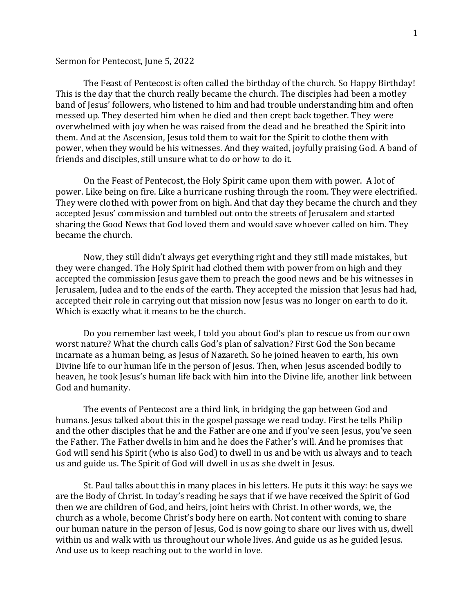## Sermon for Pentecost, June 5, 2022

The Feast of Pentecost is often called the birthday of the church. So Happy Birthday! This is the day that the church really became the church. The disciples had been a motley band of Jesus' followers, who listened to him and had trouble understanding him and often messed up. They deserted him when he died and then crept back together. They were overwhelmed with joy when he was raised from the dead and he breathed the Spirit into them. And at the Ascension, Jesus told them to wait for the Spirit to clothe them with power, when they would be his witnesses. And they waited, joyfully praising God. A band of friends and disciples, still unsure what to do or how to do it.

On the Feast of Pentecost, the Holy Spirit came upon them with power. A lot of power. Like being on fire. Like a hurricane rushing through the room. They were electrified. They were clothed with power from on high. And that day they became the church and they accepted Jesus' commission and tumbled out onto the streets of Jerusalem and started sharing the Good News that God loved them and would save whoever called on him. They became the church.

Now, they still didn't always get everything right and they still made mistakes, but they were changed. The Holy Spirit had clothed them with power from on high and they accepted the commission Jesus gave them to preach the good news and be his witnesses in Jerusalem, Judea and to the ends of the earth. They accepted the mission that Jesus had had, accepted their role in carrying out that mission now Jesus was no longer on earth to do it. Which is exactly what it means to be the church.

Do you remember last week, I told you about God's plan to rescue us from our own worst nature? What the church calls God's plan of salvation? First God the Son became incarnate as a human being, as Jesus of Nazareth. So he joined heaven to earth, his own Divine life to our human life in the person of Jesus. Then, when Jesus ascended bodily to heaven, he took Jesus's human life back with him into the Divine life, another link between God and humanity.

The events of Pentecost are a third link, in bridging the gap between God and humans. Jesus talked about this in the gospel passage we read today. First he tells Philip and the other disciples that he and the Father are one and if you've seen Jesus, you've seen the Father. The Father dwells in him and he does the Father's will. And he promises that God will send his Spirit (who is also God) to dwell in us and be with us always and to teach us and guide us. The Spirit of God will dwell in us as she dwelt in Jesus.

St. Paul talks about this in many places in his letters. He puts it this way: he says we are the Body of Christ. In today's reading he says that if we have received the Spirit of God then we are children of God, and heirs, joint heirs with Christ. In other words, we, the church as a whole, become Christ's body here on earth. Not content with coming to share our human nature in the person of Jesus, God is now going to share our lives with us, dwell within us and walk with us throughout our whole lives. And guide us as he guided Jesus. And use us to keep reaching out to the world in love.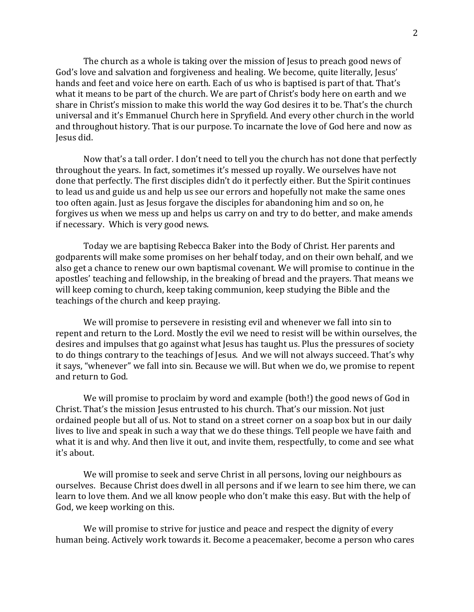The church as a whole is taking over the mission of Jesus to preach good news of God's love and salvation and forgiveness and healing. We become, quite literally, Jesus' hands and feet and voice here on earth. Each of us who is baptised is part of that. That's what it means to be part of the church. We are part of Christ's body here on earth and we share in Christ's mission to make this world the way God desires it to be. That's the church universal and it's Emmanuel Church here in Spryfield. And every other church in the world and throughout history. That is our purpose. To incarnate the love of God here and now as Jesus did.

Now that's a tall order. I don't need to tell you the church has not done that perfectly throughout the years. In fact, sometimes it's messed up royally. We ourselves have not done that perfectly. The first disciples didn't do it perfectly either. But the Spirit continues to lead us and guide us and help us see our errors and hopefully not make the same ones too often again. Just as Jesus forgave the disciples for abandoning him and so on, he forgives us when we mess up and helps us carry on and try to do better, and make amends if necessary. Which is very good news.

Today we are baptising Rebecca Baker into the Body of Christ. Her parents and godparents will make some promises on her behalf today, and on their own behalf, and we also get a chance to renew our own baptismal covenant. We will promise to continue in the apostles' teaching and fellowship, in the breaking of bread and the prayers. That means we will keep coming to church, keep taking communion, keep studying the Bible and the teachings of the church and keep praying.

We will promise to persevere in resisting evil and whenever we fall into sin to repent and return to the Lord. Mostly the evil we need to resist will be within ourselves, the desires and impulses that go against what Jesus has taught us. Plus the pressures of society to do things contrary to the teachings of Jesus. And we will not always succeed. That's why it says, "whenever" we fall into sin. Because we will. But when we do, we promise to repent and return to God.

We will promise to proclaim by word and example (both!) the good news of God in Christ. That's the mission Jesus entrusted to his church. That's our mission. Not just ordained people but all of us. Not to stand on a street corner on a soap box but in our daily lives to live and speak in such a way that we do these things. Tell people we have faith and what it is and why. And then live it out, and invite them, respectfully, to come and see what it's about.

We will promise to seek and serve Christ in all persons, loving our neighbours as ourselves. Because Christ does dwell in all persons and if we learn to see him there, we can learn to love them. And we all know people who don't make this easy. But with the help of God, we keep working on this.

We will promise to strive for justice and peace and respect the dignity of every human being. Actively work towards it. Become a peacemaker, become a person who cares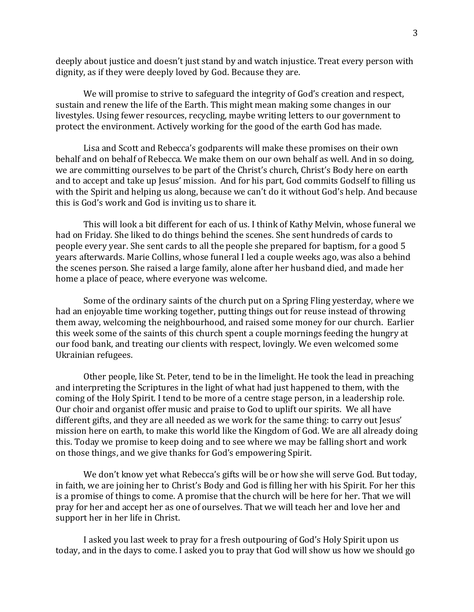deeply about justice and doesn't just stand by and watch injustice. Treat every person with dignity, as if they were deeply loved by God. Because they are.

We will promise to strive to safeguard the integrity of God's creation and respect, sustain and renew the life of the Earth. This might mean making some changes in our livestyles. Using fewer resources, recycling, maybe writing letters to our government to protect the environment. Actively working for the good of the earth God has made.

Lisa and Scott and Rebecca's godparents will make these promises on their own behalf and on behalf of Rebecca. We make them on our own behalf as well. And in so doing, we are committing ourselves to be part of the Christ's church, Christ's Body here on earth and to accept and take up Jesus' mission. And for his part, God commits Godself to filling us with the Spirit and helping us along, because we can't do it without God's help. And because this is God's work and God is inviting us to share it.

This will look a bit different for each of us. I think of Kathy Melvin, whose funeral we had on Friday. She liked to do things behind the scenes. She sent hundreds of cards to people every year. She sent cards to all the people she prepared for baptism, for a good 5 years afterwards. Marie Collins, whose funeral I led a couple weeks ago, was also a behind the scenes person. She raised a large family, alone after her husband died, and made her home a place of peace, where everyone was welcome.

Some of the ordinary saints of the church put on a Spring Fling yesterday, where we had an enjoyable time working together, putting things out for reuse instead of throwing them away, welcoming the neighbourhood, and raised some money for our church. Earlier this week some of the saints of this church spent a couple mornings feeding the hungry at our food bank, and treating our clients with respect, lovingly. We even welcomed some Ukrainian refugees.

Other people, like St. Peter, tend to be in the limelight. He took the lead in preaching and interpreting the Scriptures in the light of what had just happened to them, with the coming of the Holy Spirit. I tend to be more of a centre stage person, in a leadership role. Our choir and organist offer music and praise to God to uplift our spirits. We all have different gifts, and they are all needed as we work for the same thing: to carry out Jesus' mission here on earth, to make this world like the Kingdom of God. We are all already doing this. Today we promise to keep doing and to see where we may be falling short and work on those things, and we give thanks for God's empowering Spirit.

We don't know yet what Rebecca's gifts will be or how she will serve God. But today, in faith, we are joining her to Christ's Body and God is filling her with his Spirit. For her this is a promise of things to come. A promise that the church will be here for her. That we will pray for her and accept her as one of ourselves. That we will teach her and love her and support her in her life in Christ.

I asked you last week to pray for a fresh outpouring of God's Holy Spirit upon us today, and in the days to come. I asked you to pray that God will show us how we should go